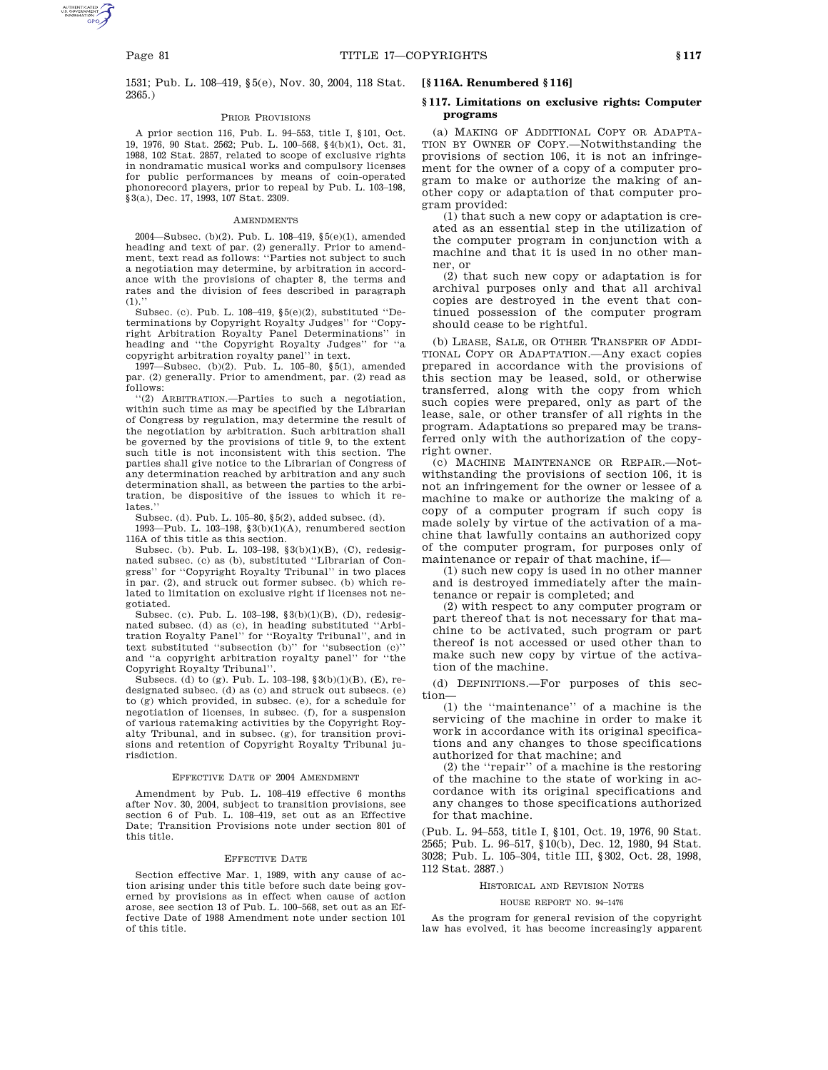1531; Pub. L. 108–419, §5(e), Nov. 30, 2004, 118 Stat. 2365.)

## PRIOR PROVISIONS

A prior section 116, Pub. L. 94–553, title I, §101, Oct. 19, 1976, 90 Stat. 2562; Pub. L. 100–568, §4(b)(1), Oct. 31, 1988, 102 Stat. 2857, related to scope of exclusive rights in nondramatic musical works and compulsory licenses for public performances by means of coin-operated phonorecord players, prior to repeal by Pub. L. 103–198, §3(a), Dec. 17, 1993, 107 Stat. 2309.

### **AMENDMENTS**

2004—Subsec. (b)(2). Pub. L. 108–419, §5(e)(1), amended heading and text of par. (2) generally. Prior to amendment, text read as follows: ''Parties not subject to such a negotiation may determine, by arbitration in accordance with the provisions of chapter 8, the terms and rates and the division of fees described in paragraph  $(1).$ 

Subsec. (c). Pub. L.  $108-419$ ,  $§5(e)(2)$ , substituted "Determinations by Copyright Royalty Judges'' for ''Copyright Arbitration Royalty Panel Determinations'' in heading and ''the Copyright Royalty Judges'' for ''a copyright arbitration royalty panel'' in text.

1997—Subsec. (b)(2). Pub. L. 105–80, §5(1), amended par. (2) generally. Prior to amendment, par. (2) read as follows:

''(2) ARBITRATION.—Parties to such a negotiation, within such time as may be specified by the Librarian of Congress by regulation, may determine the result of the negotiation by arbitration. Such arbitration shall be governed by the provisions of title 9, to the extent such title is not inconsistent with this section. The parties shall give notice to the Librarian of Congress of any determination reached by arbitration and any such determination shall, as between the parties to the arbitration, be dispositive of the issues to which it relates.

Subsec. (d). Pub. L. 105–80, §5(2), added subsec. (d).

1993—Pub. L. 103–198, §3(b)(1)(A), renumbered section 116A of this title as this section.

Subsec. (b). Pub. L. 103–198, §3(b)(1)(B), (C), redesignated subsec. (c) as (b), substituted ''Librarian of Congress'' for ''Copyright Royalty Tribunal'' in two places in par. (2), and struck out former subsec. (b) which related to limitation on exclusive right if licenses not negotiated.

Subsec. (c). Pub. L. 103–198, §3(b)(1)(B), (D), redesignated subsec. (d) as (c), in heading substituted ''Arbitration Royalty Panel'' for ''Royalty Tribunal'', and in text substituted "subsection  $(b)$ " for "subsection  $(c)$ " and ''a copyright arbitration royalty panel'' for ''the Copyright Royalty Tribunal''.

Subsecs. (d) to (g). Pub. L. 103–198, §3(b)(1)(B), (E), redesignated subsec. (d) as (c) and struck out subsecs. (e) to (g) which provided, in subsec. (e), for a schedule for negotiation of licenses, in subsec. (f), for a suspension of various ratemaking activities by the Copyright Royalty Tribunal, and in subsec. (g), for transition provisions and retention of Copyright Royalty Tribunal jurisdiction.

#### EFFECTIVE DATE OF 2004 AMENDMENT

Amendment by Pub. L. 108–419 effective 6 months after Nov. 30, 2004, subject to transition provisions, see section 6 of Pub. L. 108–419, set out as an Effective Date; Transition Provisions note under section 801 of this title.

#### EFFECTIVE DATE

Section effective Mar. 1, 1989, with any cause of action arising under this title before such date being governed by provisions as in effect when cause of action arose, see section 13 of Pub. L. 100–568, set out as an Effective Date of 1988 Amendment note under section 101 of this title.

# **[§ 116A. Renumbered § 116]**

## **§ 117. Limitations on exclusive rights: Computer programs**

(a) MAKING OF ADDITIONAL COPY OR ADAPTA-TION BY OWNER OF COPY.—Notwithstanding the provisions of section 106, it is not an infringement for the owner of a copy of a computer program to make or authorize the making of another copy or adaptation of that computer program provided:

(1) that such a new copy or adaptation is created as an essential step in the utilization of the computer program in conjunction with a machine and that it is used in no other manner, or

(2) that such new copy or adaptation is for archival purposes only and that all archival copies are destroyed in the event that continued possession of the computer program should cease to be rightful.

(b) LEASE, SALE, OR OTHER TRANSFER OF ADDI-TIONAL COPY OR ADAPTATION.—Any exact copies prepared in accordance with the provisions of this section may be leased, sold, or otherwise transferred, along with the copy from which such copies were prepared, only as part of the lease, sale, or other transfer of all rights in the program. Adaptations so prepared may be transferred only with the authorization of the copyright owner.

(c) MACHINE MAINTENANCE OR REPAIR.—Notwithstanding the provisions of section 106, it is not an infringement for the owner or lessee of a machine to make or authorize the making of a copy of a computer program if such copy is made solely by virtue of the activation of a machine that lawfully contains an authorized copy of the computer program, for purposes only of maintenance or repair of that machine, if—

(1) such new copy is used in no other manner and is destroyed immediately after the maintenance or repair is completed; and

(2) with respect to any computer program or part thereof that is not necessary for that machine to be activated, such program or part thereof is not accessed or used other than to make such new copy by virtue of the activation of the machine.

(d) DEFINITIONS.—For purposes of this section—

(1) the ''maintenance'' of a machine is the servicing of the machine in order to make it work in accordance with its original specifications and any changes to those specifications authorized for that machine; and

(2) the ''repair'' of a machine is the restoring of the machine to the state of working in accordance with its original specifications and any changes to those specifications authorized for that machine.

(Pub. L. 94–553, title I, §101, Oct. 19, 1976, 90 Stat. 2565; Pub. L. 96–517, §10(b), Dec. 12, 1980, 94 Stat. 3028; Pub. L. 105–304, title III, §302, Oct. 28, 1998, 112 Stat. 2887.)

#### HISTORICAL AND REVISION NOTES

## HOUSE REPORT NO. 94–1476

As the program for general revision of the copyright law has evolved, it has become increasingly apparent